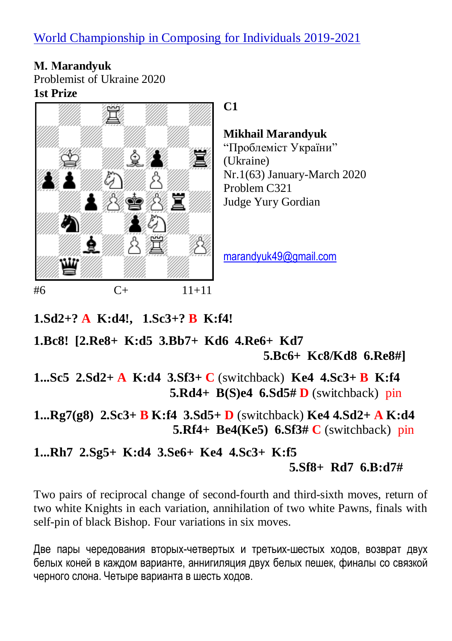**М. Мarandyuk** Problemist of Ukraine 2020 **1st Prize**



**C1**

## **Mikhail Marandyuk**

"Проблеміст України" (Ukraine) Nr.1(63) January-March 2020 Problem C321 Judge Yury Gordian

[marandyuk49@gmail.com](mailto:marandyuk49@gmail.com)

**1.Sd2+? A K:d4!, 1.Sc3+? B K:f4!**

**1.Bc8! [2.Re8+ K:d5 3.Bb7+ Kd6 4.Re6+ Kd7 5.Bc6+ Kc8/Kd8 6.Re8#]**

**1...Sc5 2.Sd2+ A K:d4 3.Sf3+ C** (switchback) **Ke4 4.Sc3+ B K:f4 5.Rd4+ B(S)e4 6.Sd5# D** (switchback) pin

**1...Rg7(g8) 2.Sc3+ B K:f4 3.Sd5+ D** (switchback) **Ke4 4.Sd2+ A K:d4 5.Rf4+ Be4(Ke5) 6.Sf3# C** (switchback) pin

## **1...Rh7 2.Sg5+ K:d4 3.Se6+ Ke4 4.Sc3+ K:f5 5.Sf8+ Rd7 6.B:d7#**

Two pairs of reciprocal change of second-fourth and third-sixth moves, return of two white Knights in each variation, annihilation of two white Pawns, finals with self-pin of black Bishop. Four variations in six moves.

Две пары чередования вторых-четвертых и третьих-шестых ходов, возврат двух белых коней в каждом варианте, аннигиляция двух белых пешек, финалы со связкой черного слона. Четыре варианта в шесть ходов.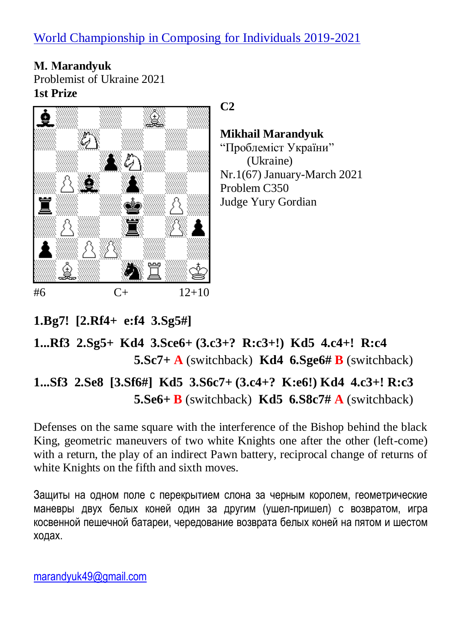**М. Мarandyuk** Problemist of Ukraine 2021 **1st Prize**



## **C2**

## **Mikhail Marandyuk**

"Проблеміст України" (Ukraine) Nr.1(67) January-March 2021 Problem C350 Judge Yury Gordian

# **1.Bg7! [2.Rf4+ e:f4 3.Sg5#]**

# **1...Rf3 2.Sg5+ Kd4 3.Sce6+ (3.c3+? R:c3+!) Kd5 4.c4+! R:c4 5.Sc7+ A** (switchback) **Kd4 6.Sge6# B** (switchback)

# **1...Sf3 2.Se8 [3.Sf6#] Kd5 3.S6c7+ (3.c4+? K:e6!) Kd4 4.c3+! R:c3 5.Se6+ B** (switchback) **Kd5 6.S8c7# A** (switchback)

Defenses on the same square with the interference of the Bishop behind the black King, geometric maneuvers of two white Knights one after the other (left-come) with a return, the play of an indirect Pawn battery, reciprocal change of returns of white Knights on the fifth and sixth moves.

Защиты на одном поле с перекрытием слона за черным королем, геометрические маневры двух белых коней один за другим (ушел-пришел) с возвратом, игра косвенной пешечной батареи, чередование возврата белых коней на пятом и шестом ходах.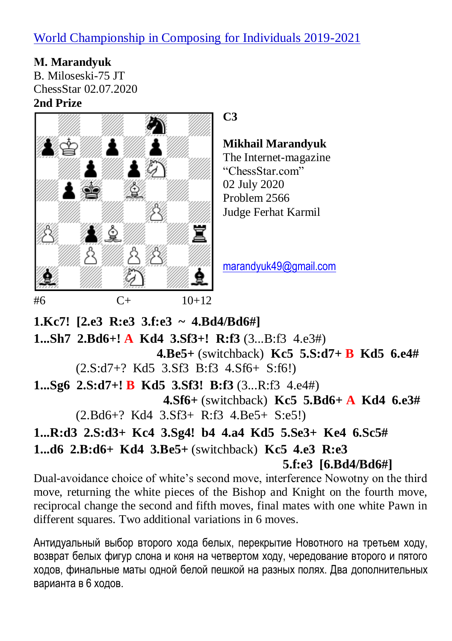# World Championship in Composing for Individuals 2019-2021

**М. Marandyuk** B. Miloseski-75 JT ChessStar 02.07.2020 **2nd Prize**



**C3**

#### **Mikhail Marandyuk**

The Internet-magazine "ChessStar.com" 02 July 2020 Problem 2566 Judge Ferhat Karmil

[marandyuk49@gmail.com](mailto:marandyuk49@gmail.com)

**1.Kc7! [2.e3 R:e3 3.f:e3 ~ 4.Bd4/Bd6#]**

**1...Sh7 2.Bd6+! A Kd4 3.Sf3+! R:f3** (3...B:f3 4.e3#) **4.Be5+** (switchback) **Kc5 5.S:d7+ B Kd5 6.e4#** (2.S:d7+? Kd5 3.Sf3 B:f3 4.Sf6+ S:f6!) **1...Sg6 2.S:d7+! B Kd5 3.Sf3! B:f3** (3...R:f3 4.e4#) **4.Sf6+** (switchback) **Kc5 5.Bd6+ A Kd4 6.e3#** (2.Bd6+? Kd4 3.Sf3+ R:f3 4.Be5+ S:e5!) **1...R:d3 2.S:d3+ Kc4 3.Sg4! b4 4.a4 Kd5 5.Se3+ Ke4 6.Sc5#**

**1...d6 2.B:d6+ Kd4 3.Be5+** (switchback) **Kc5 4.e3 R:e3 5.f:e3 [6.Bd4/Bd6#]**

Dual-avoidance choice of white's second move, interference Nowotny on the third move, returning the white pieces of the Bishop and Knight on the fourth move, reciprocal change the second and fifth moves, final mates with one white Pawn in different squares. Two additional variations in 6 moves.

Антидуальный выбор второго хода белых, перекрытие Новотного на третьем ходу, возврат белых фигур слона и коня на четвертом ходу, чередование второго и пятого ходов, финальные маты одной белой пешкой на разных полях. Два дополнительных варианта в 6 ходов.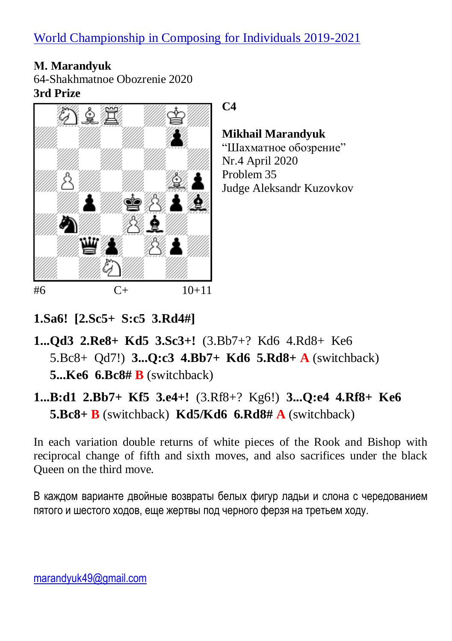**М. Marandyuk** 64-Shakhmatnoe Obozrenie 2020 **3rd Prize**



**C4**

**Mikhail Marandyuk**

"Шахматное обозрение" Nr.4 April 2020 Problem 35 Judge Aleksandr Kuzovkov

**1.Sa6! [2.Sc5+ S:c5 3.Rd4#]**

- **1...Qd3 2.Re8+ Kd5 3.Sc3+!** (3.Bb7+? Kd6 4.Rd8+ Ke6 5.Bc8+ Qd7!) **3...Q:c3 4.Bb7+ Kd6 5.Rd8+ A** (switchback) **5...Ke6 6.Bc8# B** (switchback)
- **1...B:d1 2.Bb7+ Kf5 3.e4+!** (3.Rf8+? Kg6!) **3...Q:e4 4.Rf8+ Ke6 5.Bc8+ B** (switchback) **Kd5/Kd6 6.Rd8# A** (switchback)

In each variation double returns of white pieces of the Rook and Bishop with reciprocal change of fifth and sixth moves, and also sacrifices under the black Queen on the third move.

В каждом варианте двойные возвраты белых фигур ладьи и слона с чередованием пятого и шестого ходов, еще жертвы под черного ферзя на третьем ходу.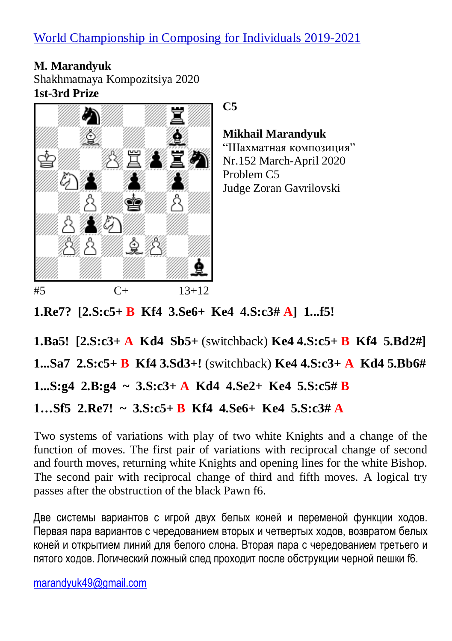**М. Marandyuk** Shakhmatnaya Kompozitsiya 2020 **1st-3rd Prize**



**C5**

**Mikhail Marandyuk**

"Шахматная композиция" Nr.152 March-April 2020 Problem C5 Judge Zoran Gavrilovski

**1.Re7? [2.S:c5+ B Kf4 3.Se6+ Ke4 4.S:c3# A] 1...f5!**

**1.Ba5! [2.S:c3+ A Kd4 Sb5+** (switchback) **Ke4 4.S:c5+ B Kf4 5.Bd2#] 1...Sa7 2.S:c5+ B Kf4 3.Sd3+!** (switchback) **Ke4 4.S:c3+ A Kd4 5.Bb6# 1...S:g4 2.B:g4 ~ 3.S:c3+ A Kd4 4.Se2+ Ke4 5.S:c5# B 1…Sf5 2.Re7! ~ 3.S:c5+ B Kf4 4.Se6+ Ke4 5.S:c3# A**

Two systems of variations with play of two white Knights and a change of the function of moves. The first pair of variations with reciprocal change of second and fourth moves, returning white Knights and opening lines for the white Bishop. The second pair with reciprocal change of third and fifth moves. A logical try passes after the obstruction of the black Pawn f6.

Две системы вариантов с игрой двух белых коней и переменой функции ходов. Первая пара вариантов с чередованием вторых и четвертых ходов, возвратом белых коней и открытием линий для белого слона. Вторая пара с чередованием третьего и пятого ходов. Логический ложный след проходит после обструкции черной пешки f6.

[marandyuk49@gmail.com](mailto:marandyuk49@gmail.com)